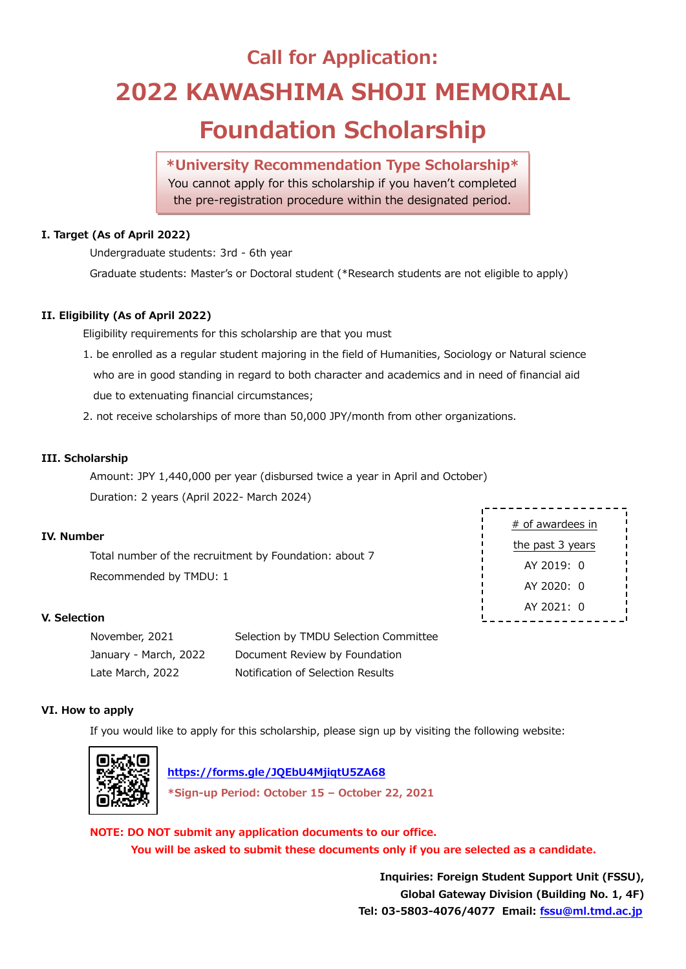# **Call for Application: 2022 KAWASHIMA SHOJI MEMORIAL Foundation Scholarship**

# **\*University Recommendation Type Scholarship\***

You cannot apply for this scholarship if you haven't completed the pre-registration procedure within the designated period.

# **I. Target (As of April 2022)**

Undergraduate students: 3rd - 6th year

Graduate students: Master's or Doctoral student (\*Research students are not eligible to apply)

## **II. Eligibility (As of April 2022)**

Eligibility requirements for this scholarship are that you must

- 1. be enrolled as a regular student majoring in the field of Humanities, Sociology or Natural science who are in good standing in regard to both character and academics and in need of financial aid due to extenuating financial circumstances;
- 2. not receive scholarships of more than 50,000 JPY/month from other organizations.

# **III. Scholarship**

Amount: JPY 1,440,000 per year (disbursed twice a year in April and October) Duration: 2 years (April 2022- March 2024)

## **IV. Number**

Total number of the recruitment by Foundation: about 7 Recommended by TMDU: 1

## **V. Selection**

| November, 2021        | Selection by TMDU Selection Committee |
|-----------------------|---------------------------------------|
| January - March, 2022 | Document Review by Foundation         |
| Late March, 2022      | Notification of Selection Results     |

# # of awardees in the past 3 years AY 2019: 0 AY 2020: 0 AY 2021: 0

## **VI. How to apply**

If you would like to apply for this scholarship, please sign up by visiting the following website:



 **<https://forms.gle/JQEbU4MjiqtU5ZA68> \*Sign-up Period: October 15 – October 22, 2021**

**NOTE: DO NOT submit any application documents to our office. You will be asked to submit these documents only if you are selected as a candidate.**

> **Inquiries: Foreign Student Support Unit (FSSU), Global Gateway Division (Building No. 1, 4F) Tel: 03-5803-4076/4077 Email: [fssu@ml.tmd.ac.jp](mailto:fssu@ml.tmd.ac.jp)**